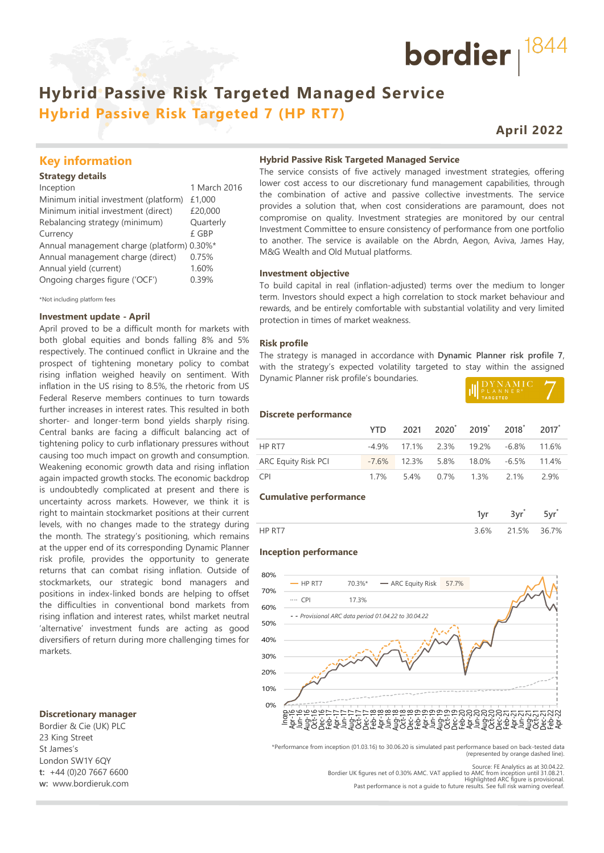# **Hybrid Passive Risk Targeted Managed Service Hybrid Passive Risk Targeted 7 (HP RT7)**

# **April 2022**

bordier  $1844$ 

## **Key information**

#### **Strategy details**

| Inception                                  | 1 March 2016 |
|--------------------------------------------|--------------|
| Minimum initial investment (platform)      | £1,000       |
| Minimum initial investment (direct)        | £20,000      |
| Rebalancing strategy (minimum)             | Quarterly    |
| Currency                                   | £ GBP        |
| Annual management charge (platform) 0.30%* |              |
| Annual management charge (direct)          | 0.75%        |
| Annual yield (current)                     | 1.60%        |
| Ongoing charges figure ('OCF')             | 0.39%        |
|                                            |              |

\*Not including platform fees

#### **Investment update - April**

April proved to be a difficult month for markets with both global equities and bonds falling 8% and 5% respectively. The continued conflict in Ukraine and the prospect of tightening monetary policy to combat rising inflation weighed heavily on sentiment. With inflation in the US rising to 8.5%, the rhetoric from US Federal Reserve members continues to turn towards further increases in interest rates. This resulted in both shorter- and longer-term bond yields sharply rising. Central banks are facing a difficult balancing act of tightening policy to curb inflationary pressures without causing too much impact on growth and consumption. Weakening economic growth data and rising inflation again impacted growth stocks. The economic backdrop is undoubtedly complicated at present and there is uncertainty across markets. However, we think it is right to maintain stockmarket positions at their current levels, with no changes made to the strategy during the month. The strategy's positioning, which remains at the upper end of its corresponding Dynamic Planner risk profile, provides the opportunity to generate returns that can combat rising inflation. Outside of stockmarkets, our strategic bond managers and positions in index-linked bonds are helping to offset the difficulties in conventional bond markets from rising inflation and interest rates, whilst market neutral 'alternative' investment funds are acting as good diversifiers of return during more challenging times for markets.

#### **Discretionary manager**

Bordier & Cie (UK) PLC 23 King Street St James's London SW1Y 6QY **t:** +44 (0)20 7667 6600 **w:** www.bordieruk.com **Hybrid Passive Risk Targeted Managed Service**

The service consists of five actively managed investment strategies, offering lower cost access to our discretionary fund management capabilities, through the combination of active and passive collective investments. The service provides a solution that, when cost considerations are paramount, does not compromise on quality. Investment strategies are monitored by our central Investment Committee to ensure consistency of performance from one portfolio to another. The service is available on the Abrdn, Aegon, Aviva, James Hay, M&G Wealth and Old Mutual platforms.

#### **Investment objective**

To build capital in real (inflation-adjusted) terms over the medium to longer term. Investors should expect a high correlation to stock market behaviour and rewards, and be entirely comfortable with substantial volatility and very limited protection in times of market weakness.

#### **Risk profile**

The strategy is managed in accordance with **Dynamic Planner risk profile 7**, with the strategy's expected volatility targeted to stay within the assigned Dynamic Planner risk profile's boundaries.

| DYNAMIC               |  |
|-----------------------|--|
|                       |  |
| <sup>'</sup> TARGETED |  |

#### **Discrete performance**

|                     |  |  | YTD 2021 2020 <sup>*</sup> 2019 <sup>*</sup> 2018 <sup>*</sup> 2017 <sup>*</sup> |  |
|---------------------|--|--|----------------------------------------------------------------------------------|--|
| HP RT7              |  |  | $-4.9\%$ 17.1% 2.3% 19.2% $-6.8\%$ 11.6%                                         |  |
| ARC Equity Risk PCI |  |  | $-7.6\%$ 12.3% 5.8% 18.0% $-6.5\%$ 11.4%                                         |  |
| <b>CPI</b>          |  |  | 1.7% 5.4% 0.7% 1.3% 2.1% 2.9%                                                    |  |

#### **Cumulative performance**

| $h^{0/2}$ | .5% | 76.7% |
|-----------|-----|-------|

#### **Inception performance**



\*Performance from inception (01.03.16) to 30.06.20 is simulated past performance based on back-tested data (represented by orange dashed line).

Source: FE Analytics as at 30.04.22. Bordier UK figures net of 0.30% AMC. VAT applied to AMC from inception until 31.08.21. Highlighted ARC figure is provisional.

Past performance is not a guide to future results. See full risk warning overleaf